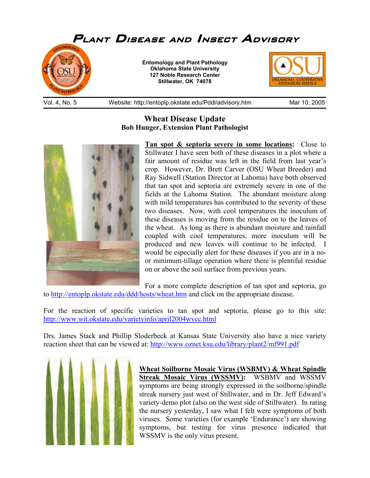

## **Wheat Disease Update Bob Hunger, Extension Plant Pathologist**



**Tan spot & septoria severe in some locations:** Close to Stillwater I have seen both of these diseases in a plot where a fair amount of residue was left in the field from last year's crop. However, Dr. Brett Carver (OSU Wheat Breeder) and Ray Sidwell (Station Director at Lahoma) have both observed that tan spot and septoria are extremely severe in one of the fields at the Lahoma Station. The abundant moisture along with mild temperatures has contributed to the severity of these two diseases. Now, with cool temperatures the inoculum of these diseases is moving from the residue on to the leaves of the wheat. As long as there is abundant moisture and rainfall coupled with cool temperatures, more inoculum will be produced and new leaves will continue to be infected. I would be especially alert for these diseases if you are in a noor minimum-tillage operation where there is plentiful residue on or above the soil surface from previous years.

For a more complete description of tan spot and septoria, go

to http://entoplp.okstate.edu/ddd/hosts/wheat.htm and click on the appropriate disease.

For the reaction of specific varieties to tan spot and septoria, please go to this site: http://www.wit.okstate.edu/varietyinfo/april2004wvcc.html

Drs. James Stack and Phillip Sloderbeck at Kansas State University also have a nice variety reaction sheet that can be viewed at: http://www.oznet.ksu.edu/library/plant2/mf991.pdf



**Wheat Soilborne Mosaic Virus (WSBMV) & Wheat Spindle Streak Mosaic Virus (WSSMV):** WSBMV and WSSMV symptoms are being strongly expressed in the soilborne/spindle streak nursery just west of Stillwater, and in Dr. Jeff Edward's variety-demo plot (also on the west side of Stillwater). In rating the nursery yesterday, I saw what I felt were symptoms of both viruses. Some varieties (for example 'Endurance') are showing symptoms, but testing for virus presence indicated that WSSMV is the only virus present.